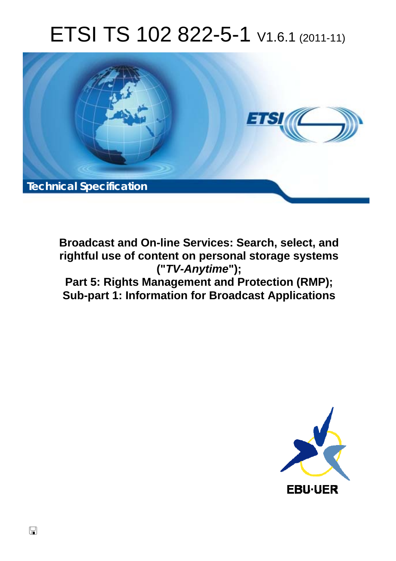# ETSI TS 102 822-5-1 V1.6.1 (2011-11)



**Broadcast and On-line Services: Search, select, and rightful use of content on personal storage systems ("***TV-Anytime***"); Part 5: Rights Management and Protection (RMP); Sub-part 1: Information for Broadcast Applications** 

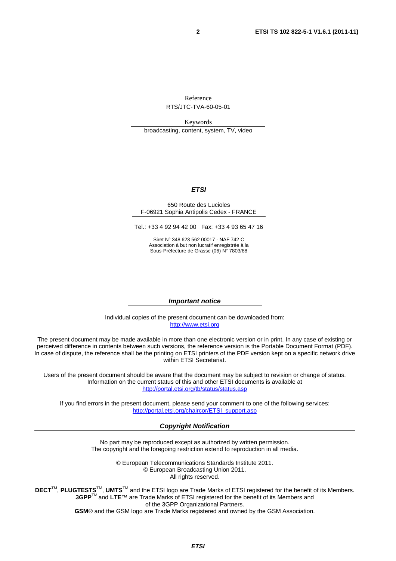Reference

RTS/JTC-TVA-60-05-01

Keywords broadcasting, content, system, TV, video

#### *ETSI*

#### 650 Route des Lucioles F-06921 Sophia Antipolis Cedex - FRANCE

Tel.: +33 4 92 94 42 00 Fax: +33 4 93 65 47 16

Siret N° 348 623 562 00017 - NAF 742 C Association à but non lucratif enregistrée à la Sous-Préfecture de Grasse (06) N° 7803/88

#### *Important notice*

Individual copies of the present document can be downloaded from: [http://www.etsi.org](http://www.etsi.org/)

The present document may be made available in more than one electronic version or in print. In any case of existing or perceived difference in contents between such versions, the reference version is the Portable Document Format (PDF). In case of dispute, the reference shall be the printing on ETSI printers of the PDF version kept on a specific network drive within ETSI Secretariat.

Users of the present document should be aware that the document may be subject to revision or change of status. Information on the current status of this and other ETSI documents is available at <http://portal.etsi.org/tb/status/status.asp>

If you find errors in the present document, please send your comment to one of the following services: [http://portal.etsi.org/chaircor/ETSI\\_support.asp](http://portal.etsi.org/chaircor/ETSI_support.asp)

#### *Copyright Notification*

No part may be reproduced except as authorized by written permission. The copyright and the foregoing restriction extend to reproduction in all media.

> © European Telecommunications Standards Institute 2011. © European Broadcasting Union 2011. All rights reserved.

**DECT**TM, **PLUGTESTS**TM, **UMTS**TM and the ETSI logo are Trade Marks of ETSI registered for the benefit of its Members. **3GPP**TM and **LTE**™ are Trade Marks of ETSI registered for the benefit of its Members and of the 3GPP Organizational Partners. **GSM**® and the GSM logo are Trade Marks registered and owned by the GSM Association.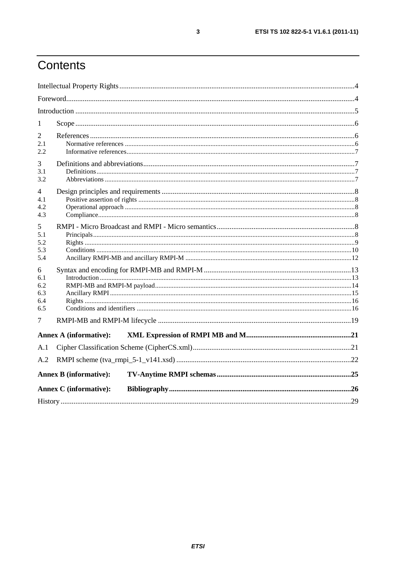## Contents

| 1                                    |                               |  |  |
|--------------------------------------|-------------------------------|--|--|
| 2<br>2.1<br>2.2.                     |                               |  |  |
| 3<br>3.1<br>3.2                      |                               |  |  |
| 4<br>4.1<br>4.2<br>4.3               |                               |  |  |
| 5<br>5.1<br>5.2<br>5.3<br>5.4        |                               |  |  |
| 6<br>6.1<br>6.2<br>6.3<br>6.4<br>6.5 |                               |  |  |
| 7                                    |                               |  |  |
|                                      | <b>Annex A (informative):</b> |  |  |
| A.1<br>A.2                           |                               |  |  |
|                                      | <b>Annex B</b> (informative): |  |  |
|                                      | <b>Annex C</b> (informative): |  |  |
|                                      |                               |  |  |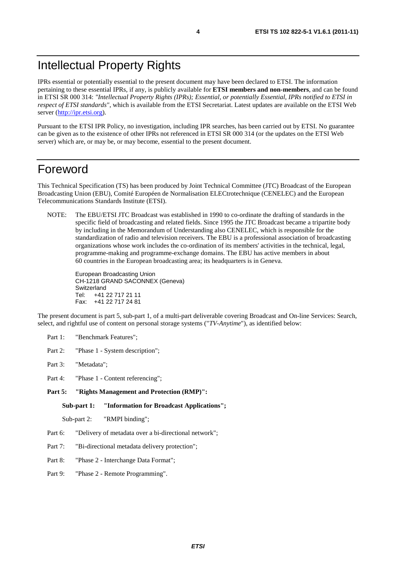IPRs essential or potentially essential to the present document may have been declared to ETSI. The information pertaining to these essential IPRs, if any, is publicly available for **ETSI members and non-members**, and can be found in ETSI SR 000 314: *"Intellectual Property Rights (IPRs); Essential, or potentially Essential, IPRs notified to ETSI in respect of ETSI standards"*, which is available from the ETSI Secretariat. Latest updates are available on the ETSI Web server [\(http://ipr.etsi.org](http://webapp.etsi.org/IPR/home.asp)).

Pursuant to the ETSI IPR Policy, no investigation, including IPR searches, has been carried out by ETSI. No guarantee can be given as to the existence of other IPRs not referenced in ETSI SR 000 314 (or the updates on the ETSI Web server) which are, or may be, or may become, essential to the present document.

### Foreword

This Technical Specification (TS) has been produced by Joint Technical Committee (JTC) Broadcast of the European Broadcasting Union (EBU), Comité Européen de Normalisation ELECtrotechnique (CENELEC) and the European Telecommunications Standards Institute (ETSI).

NOTE: The EBU/ETSI JTC Broadcast was established in 1990 to co-ordinate the drafting of standards in the specific field of broadcasting and related fields. Since 1995 the JTC Broadcast became a tripartite body by including in the Memorandum of Understanding also CENELEC, which is responsible for the standardization of radio and television receivers. The EBU is a professional association of broadcasting organizations whose work includes the co-ordination of its members' activities in the technical, legal, programme-making and programme-exchange domains. The EBU has active members in about 60 countries in the European broadcasting area; its headquarters is in Geneva.

European Broadcasting Union CH-1218 GRAND SACONNEX (Geneva) Switzerland Tel: +41 22 717 21 11 Fax: +41 22 717 24 81

The present document is part 5, sub-part 1, of a multi-part deliverable covering Broadcast and On-line Services: Search, select, and rightful use of content on personal storage systems ("*TV-Anytime*"), as identified below:

- Part 1: "Benchmark Features";
- Part 2: "Phase 1 System description";
- Part 3: "Metadata";
- Part 4: "Phase 1 Content referencing":
- **Part 5: "Rights Management and Protection (RMP)":**

**Sub-part 1: "Information for Broadcast Applications";** 

Sub-part 2: "RMPI binding";

- Part 6: "Delivery of metadata over a bi-directional network";
- Part 7: "Bi-directional metadata delivery protection";
- Part 8: "Phase 2 Interchange Data Format";
- Part 9: "Phase 2 Remote Programming".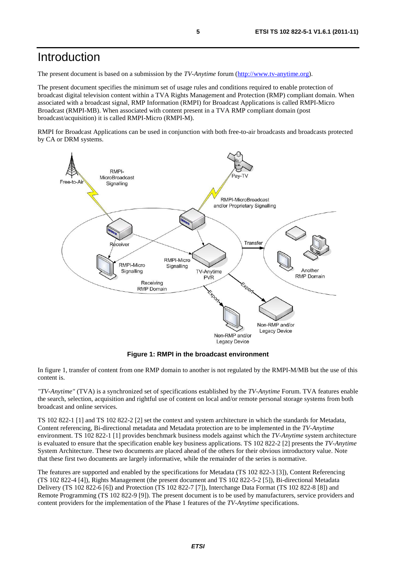## Introduction

The present document is based on a submission by the *TV-Anytime* forum [\(http://www.tv-anytime.org](http://www.tv-anytime.org/)).

The present document specifies the minimum set of usage rules and conditions required to enable protection of broadcast digital television content within a TVA Rights Management and Protection (RMP) compliant domain. When associated with a broadcast signal, RMP Information (RMPI) for Broadcast Applications is called RMPI-Micro Broadcast (RMPI-MB). When associated with content present in a TVA RMP compliant domain (post broadcast/acquisition) it is called RMPI-Micro (RMPI-M).

RMPI for Broadcast Applications can be used in conjunction with both free-to-air broadcasts and broadcasts protected by CA or DRM systems.



**Figure 1: RMPI in the broadcast environment** 

In figure 1, transfer of content from one RMP domain to another is not regulated by the RMPI-M/MB but the use of this content is.

*"TV-Anytime"* (TVA) is a synchronized set of specifications established by the *TV-Anytime* Forum. TVA features enable the search, selection, acquisition and rightful use of content on local and/or remote personal storage systems from both broadcast and online services.

TS 102 822-1 [1] and TS 102 822-2 [2] set the context and system architecture in which the standards for Metadata, Content referencing, Bi-directional metadata and Metadata protection are to be implemented in the *TV-Anytime* environment. TS 102 822-1 [1] provides benchmark business models against which the *TV-Anytime* system architecture is evaluated to ensure that the specification enable key business applications. TS 102 822-2 [2] presents the *TV-Anytime* System Architecture. These two documents are placed ahead of the others for their obvious introductory value. Note that these first two documents are largely informative, while the remainder of the series is normative.

The features are supported and enabled by the specifications for Metadata (TS 102 822-3 [3]), Content Referencing (TS 102 822-4 [4]), Rights Management (the present document and TS 102 822-5-2 [5]), Bi-directional Metadata Delivery (TS 102 822-6 [6]) and Protection (TS 102 822-7 [7]), Interchange Data Format (TS 102 822-8 [8]) and Remote Programming (TS 102 822-9 [9]). The present document is to be used by manufacturers, service providers and content providers for the implementation of the Phase 1 features of the *TV-Anytime* specifications.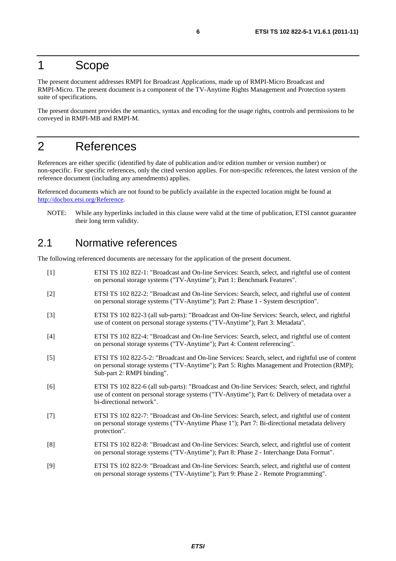### 1 Scope

The present document addresses RMPI for Broadcast Applications, made up of RMPI-Micro Broadcast and RMPI-Micro. The present document is a component of the TV-Anytime Rights Management and Protection system suite of specifications.

The present document provides the semantics, syntax and encoding for the usage rights, controls and permissions to be conveyed in RMPI-MB and RMPI-M.

## 2 References

References are either specific (identified by date of publication and/or edition number or version number) or non-specific. For specific references, only the cited version applies. For non-specific references, the latest version of the reference document (including any amendments) applies.

Referenced documents which are not found to be publicly available in the expected location might be found at [http://docbox.etsi.org/Reference.](http://docbox.etsi.org/Reference)

NOTE: While any hyperlinks included in this clause were valid at the time of publication, ETSI cannot guarantee their long term validity.

### 2.1 Normative references

The following referenced documents are necessary for the application of the present document.

[1] ETSI TS 102 822-1: "Broadcast and On-line Services: Search, select, and rightful use of content on personal storage systems ("TV-Anytime"); Part 1: Benchmark Features". [2] ETSI TS 102 822-2: "Broadcast and On-line Services: Search, select, and rightful use of content on personal storage systems ("TV-Anytime"); Part 2: Phase 1 - System description". [3] ETSI TS 102 822-3 (all sub-parts): "Broadcast and On-line Services: Search, select, and rightful use of content on personal storage systems ("TV-Anytime"); Part 3: Metadata". [4] ETSI TS 102 822-4: "Broadcast and On-line Services: Search, select, and rightful use of content on personal storage systems ("TV-Anytime"); Part 4: Content referencing". [5] ETSI TS 102 822-5-2: "Broadcast and On-line Services: Search, select, and rightful use of content on personal storage systems ("TV-Anytime"); Part 5: Rights Management and Protection (RMP); Sub-part 2: RMPI binding". [6] ETSI TS 102 822-6 (all sub-parts): "Broadcast and On-line Services: Search, select, and rightful use of content on personal storage systems ("TV-Anytime"); Part 6: Delivery of metadata over a bi-directional network". [7] ETSI TS 102 822-7: "Broadcast and On-line Services: Search, select, and rightful use of content on personal storage systems ("TV-Anytime Phase 1"); Part 7: Bi-directional metadata delivery protection". [8] ETSI TS 102 822-8: "Broadcast and On-line Services: Search, select, and rightful use of content on personal storage systems ("TV-Anytime"); Part 8: Phase 2 - Interchange Data Format". [9] ETSI TS 102 822-9: "Broadcast and On-line Services: Search, select, and rightful use of content on personal storage systems ("TV-Anytime"); Part 9: Phase 2 - Remote Programming".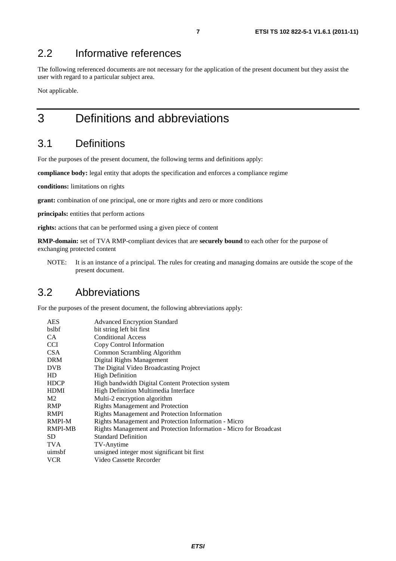### 2.2 Informative references

The following referenced documents are not necessary for the application of the present document but they assist the user with regard to a particular subject area.

Not applicable.

## 3 Definitions and abbreviations

### 3.1 Definitions

For the purposes of the present document, the following terms and definitions apply:

**compliance body:** legal entity that adopts the specification and enforces a compliance regime

**conditions:** limitations on rights

**grant:** combination of one principal, one or more rights and zero or more conditions

**principals:** entities that perform actions

**rights:** actions that can be performed using a given piece of content

**RMP-domain:** set of TVA RMP-compliant devices that are **securely bound** to each other for the purpose of exchanging protected content

NOTE: It is an instance of a principal. The rules for creating and managing domains are outside the scope of the present document.

### 3.2 Abbreviations

For the purposes of the present document, the following abbreviations apply:

| <b>AES</b>     | <b>Advanced Encryption Standard</b>                                |
|----------------|--------------------------------------------------------------------|
| bslbf          | bit string left bit first                                          |
| CA.            | <b>Conditional Access</b>                                          |
| <b>CCI</b>     | Copy Control Information                                           |
| <b>CSA</b>     | Common Scrambling Algorithm                                        |
| <b>DRM</b>     | Digital Rights Management                                          |
| <b>DVB</b>     | The Digital Video Broadcasting Project                             |
| HD             | <b>High Definition</b>                                             |
| <b>HDCP</b>    | High bandwidth Digital Content Protection system                   |
| <b>HDMI</b>    | High Definition Multimedia Interface                               |
| M <sub>2</sub> | Multi-2 encryption algorithm                                       |
| <b>RMP</b>     | <b>Rights Management and Protection</b>                            |
| <b>RMPI</b>    | <b>Rights Management and Protection Information</b>                |
| <b>RMPI-M</b>  | Rights Management and Protection Information - Micro               |
| <b>RMPI-MB</b> | Rights Management and Protection Information - Micro for Broadcast |
| SD.            | <b>Standard Definition</b>                                         |
| <b>TVA</b>     | TV-Anytime                                                         |
| uimsbf         | unsigned integer most significant bit first                        |
| <b>VCR</b>     | Video Cassette Recorder                                            |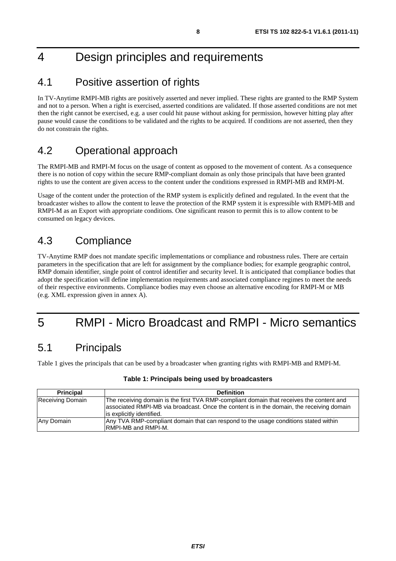## 4 Design principles and requirements

### 4.1 Positive assertion of rights

In TV-Anytime RMPI-MB rights are positively asserted and never implied. These rights are granted to the RMP System and not to a person. When a right is exercised, asserted conditions are validated. If those asserted conditions are not met then the right cannot be exercised, e.g. a user could hit pause without asking for permission, however hitting play after pause would cause the conditions to be validated and the rights to be acquired. If conditions are not asserted, then they do not constrain the rights.

## 4.2 Operational approach

The RMPI-MB and RMPI-M focus on the usage of content as opposed to the movement of content. As a consequence there is no notion of copy within the secure RMP-compliant domain as only those principals that have been granted rights to use the content are given access to the content under the conditions expressed in RMPI-MB and RMPI-M.

Usage of the content under the protection of the RMP system is explicitly defined and regulated. In the event that the broadcaster wishes to allow the content to leave the protection of the RMP system it is expressible with RMPI-MB and RMPI-M as an Export with appropriate conditions. One significant reason to permit this is to allow content to be consumed on legacy devices.

### 4.3 Compliance

TV-Anytime RMP does not mandate specific implementations or compliance and robustness rules. There are certain parameters in the specification that are left for assignment by the compliance bodies; for example geographic control, RMP domain identifier, single point of control identifier and security level. It is anticipated that compliance bodies that adopt the specification will define implementation requirements and associated compliance regimes to meet the needs of their respective environments. Compliance bodies may even choose an alternative encoding for RMPI-M or MB (e.g. XML expression given in annex A).

## 5 RMPI - Micro Broadcast and RMPI - Micro semantics

### 5.1 Principals

Table 1 gives the principals that can be used by a broadcaster when granting rights with RMPI-MB and RMPI-M.

| <b>Principal</b> | <b>Definition</b>                                                                                                                                                                                                   |
|------------------|---------------------------------------------------------------------------------------------------------------------------------------------------------------------------------------------------------------------|
| Receiving Domain | The receiving domain is the first TVA RMP-compliant domain that receives the content and<br>associated RMPI-MB via broadcast. Once the content is in the domain, the receiving domain<br>lis explicitly identified. |
| Any Domain       | Any TVA RMP-compliant domain that can respond to the usage conditions stated within<br><b>IRMPI-MB and RMPI-M.</b>                                                                                                  |

### **Table 1: Principals being used by broadcasters**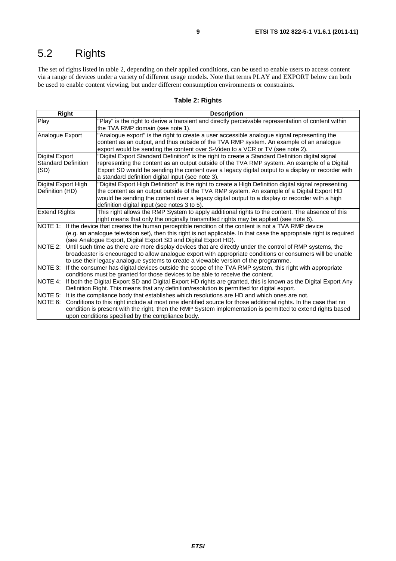## 5.2 Rights

The set of rights listed in table 2, depending on their applied conditions, can be used to enable users to access content via a range of devices under a variety of different usage models. Note that terms PLAY and EXPORT below can both be used to enable content viewing, but under different consumption environments or constraints.

### **Table 2: Rights**

| Right                      | <b>Description</b>                                                                                                   |  |  |
|----------------------------|----------------------------------------------------------------------------------------------------------------------|--|--|
| Play                       | "Play" is the right to derive a transient and directly perceivable representation of content within                  |  |  |
|                            | the TVA RMP domain (see note 1).                                                                                     |  |  |
| Analogue Export            | "Analogue export" is the right to create a user accessible analogue signal representing the                          |  |  |
|                            | content as an output, and thus outside of the TVA RMP system. An example of an analogue                              |  |  |
|                            | export would be sending the content over S-Video to a VCR or TV (see note 2).                                        |  |  |
| <b>Digital Export</b>      | "Digital Export Standard Definition" is the right to create a Standard Definition digital signal                     |  |  |
| <b>Standard Definition</b> | representing the content as an output outside of the TVA RMP system. An example of a Digital                         |  |  |
| (SD)                       | Export SD would be sending the content over a legacy digital output to a display or recorder with                    |  |  |
|                            | a standard definition digital input (see note 3).                                                                    |  |  |
| Digital Export High        | "Digital Export High Definition" is the right to create a High Definition digital signal representing                |  |  |
| Definition (HD)            | the content as an output outside of the TVA RMP system. An example of a Digital Export HD                            |  |  |
|                            | would be sending the content over a legacy digital output to a display or recorder with a high                       |  |  |
|                            | definition digital input (see notes 3 to 5).                                                                         |  |  |
| <b>Extend Rights</b>       | This right allows the RMP System to apply additional rights to the content. The absence of this                      |  |  |
|                            | right means that only the originally transmitted rights may be applied (see note 6).                                 |  |  |
|                            | NOTE 1: If the device that creates the human perceptible rendition of the content is not a TVA RMP device            |  |  |
|                            | (e.g. an analogue television set), then this right is not applicable. In that case the appropriate right is required |  |  |
|                            | (see Analogue Export, Digital Export SD and Digital Export HD).                                                      |  |  |
| NOTE 2:                    | Until such time as there are more display devices that are directly under the control of RMP systems, the            |  |  |
|                            | broadcaster is encouraged to allow analogue export with appropriate conditions or consumers will be unable           |  |  |
|                            | to use their legacy analogue systems to create a viewable version of the programme.                                  |  |  |
| NOTE 3:                    | If the consumer has digital devices outside the scope of the TVA RMP system, this right with appropriate             |  |  |
|                            | conditions must be granted for those devices to be able to receive the content.                                      |  |  |
| <b>NOTE 4:</b>             | If both the Digital Export SD and Digital Export HD rights are granted, this is known as the Digital Export Any      |  |  |
|                            | Definition Right. This means that any definition/resolution is permitted for digital export.                         |  |  |
| NOTE 5:                    | It is the compliance body that establishes which resolutions are HD and which ones are not.                          |  |  |
| NOTE 6:                    | Conditions to this right include at most one identified source for those additional rights. In the case that no      |  |  |
|                            | condition is present with the right, then the RMP System implementation is permitted to extend rights based          |  |  |
|                            | upon conditions specified by the compliance body.                                                                    |  |  |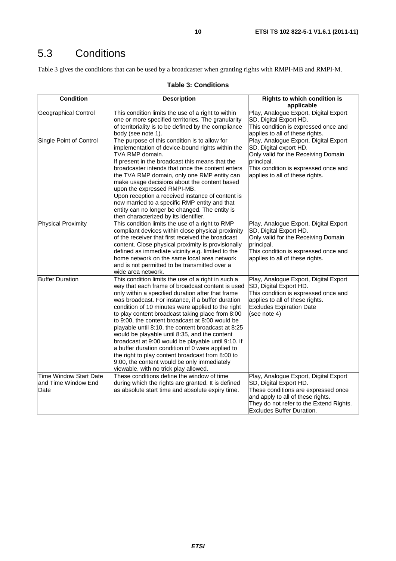## 5.3 Conditions

Table 3 gives the conditions that can be used by a broadcaster when granting rights with RMPI-MB and RMPI-M.

### **Table 3: Conditions**

| <b>Condition</b>                                             | <b>Description</b>                                                                                                                                                                                                                                                                                                                                                                                                                                                                                                                                                                                                                                                                                                                        | <b>Rights to which condition is</b><br>applicable                                                                                                                                                                   |
|--------------------------------------------------------------|-------------------------------------------------------------------------------------------------------------------------------------------------------------------------------------------------------------------------------------------------------------------------------------------------------------------------------------------------------------------------------------------------------------------------------------------------------------------------------------------------------------------------------------------------------------------------------------------------------------------------------------------------------------------------------------------------------------------------------------------|---------------------------------------------------------------------------------------------------------------------------------------------------------------------------------------------------------------------|
| <b>Geographical Control</b>                                  | This condition limits the use of a right to within<br>one or more specified territories. The granularity<br>of territoriality is to be defined by the compliance<br>body (see note 1).                                                                                                                                                                                                                                                                                                                                                                                                                                                                                                                                                    | Play, Analogue Export, Digital Export<br>SD, Digital Export HD.<br>This condition is expressed once and<br>applies to all of these rights.                                                                          |
| Single Point of Control                                      | The purpose of this condition is to allow for<br>implementation of device-bound rights within the<br>TVA RMP domain.<br>If present in the broadcast this means that the<br>broadcaster intends that once the content enters<br>the TVA RMP domain, only one RMP entity can<br>make usage decisions about the content based<br>upon the expressed RMPI-MB.<br>Upon reception a received instance of content is<br>now married to a specific RMP entity and that<br>entity can no longer be changed. The entity is<br>then characterized by its identifier.                                                                                                                                                                                 | Play, Analogue Export, Digital Export<br>SD, Digital export HD.<br>Only valid for the Receiving Domain<br>principal.<br>This condition is expressed once and<br>applies to all of these rights.                     |
| <b>Physical Proximity</b>                                    | This condition limits the use of a right to RMP<br>compliant devices within close physical proximity<br>of the receiver that first received the broadcast<br>content. Close physical proximity is provisionally<br>defined as immediate vicinity e.g. limited to the<br>home network on the same local area network<br>and is not permitted to be transmitted over a<br>wide area network.                                                                                                                                                                                                                                                                                                                                                | Play, Analogue Export, Digital Export<br>SD, Digital Export HD.<br>Only valid for the Receiving Domain<br>principal.<br>This condition is expressed once and<br>applies to all of these rights.                     |
| <b>Buffer Duration</b>                                       | This condition limits the use of a right in such a<br>way that each frame of broadcast content is used<br>only within a specified duration after that frame<br>was broadcast. For instance, if a buffer duration<br>condition of 10 minutes were applied to the right<br>to play content broadcast taking place from 8:00<br>to 9:00, the content broadcast at 8:00 would be<br>playable until 8:10, the content broadcast at 8:25<br>would be playable until 8:35, and the content<br>broadcast at 9:00 would be playable until 9:10. If<br>a buffer duration condition of 0 were applied to<br>the right to play content broadcast from 8:00 to<br>9:00, the content would be only immediately<br>viewable, with no trick play allowed. | Play, Analogue Export, Digital Export<br>SD, Digital Export HD.<br>This condition is expressed once and<br>applies to all of these rights.<br><b>Excludes Expiration Date</b><br>(see note 4)                       |
| <b>Time Window Start Date</b><br>and Time Window End<br>Date | These conditions define the window of time<br>during which the rights are granted. It is defined<br>as absolute start time and absolute expiry time.                                                                                                                                                                                                                                                                                                                                                                                                                                                                                                                                                                                      | Play, Analogue Export, Digital Export<br>SD, Digital Export HD.<br>These conditions are expressed once<br>and apply to all of these rights.<br>They do not refer to the Extend Rights.<br>Excludes Buffer Duration. |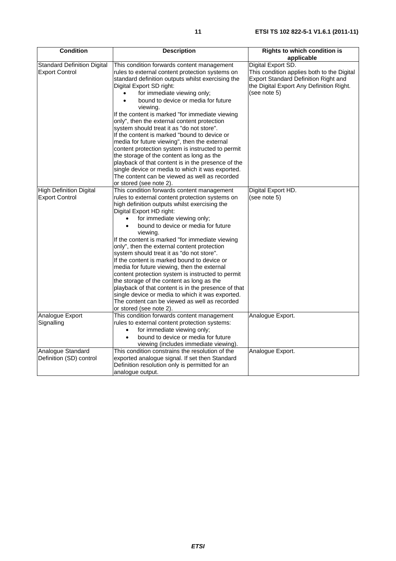| <b>Condition</b>                                            | <b>Description</b>                                                                                                                                                                                                                                                                                                                                                                                                                                                                                                                                                                                                                                                                                                                                                                                                   | <b>Rights to which condition is</b><br>applicable                                                                                                                    |
|-------------------------------------------------------------|----------------------------------------------------------------------------------------------------------------------------------------------------------------------------------------------------------------------------------------------------------------------------------------------------------------------------------------------------------------------------------------------------------------------------------------------------------------------------------------------------------------------------------------------------------------------------------------------------------------------------------------------------------------------------------------------------------------------------------------------------------------------------------------------------------------------|----------------------------------------------------------------------------------------------------------------------------------------------------------------------|
| <b>Standard Definition Digital</b><br><b>Export Control</b> | This condition forwards content management<br>rules to external content protection systems on<br>standard definition outputs whilst exercising the<br>Digital Export SD right:<br>for immediate viewing only;<br>bound to device or media for future<br>$\bullet$<br>viewing.<br>If the content is marked "for immediate viewing<br>only", then the external content protection<br>system should treat it as "do not store".<br>If the content is marked "bound to device or<br>media for future viewing", then the external<br>content protection system is instructed to permit<br>the storage of the content as long as the<br>playback of that content is in the presence of the<br>single device or media to which it was exported.<br>The content can be viewed as well as recorded<br>or stored (see note 2). | Digital Export SD.<br>This condition applies both to the Digital<br>Export Standard Definition Right and<br>the Digital Export Any Definition Right.<br>(see note 5) |
| <b>High Definition Digital</b><br><b>Export Control</b>     | This condition forwards content management<br>rules to external content protection systems on<br>high definition outputs whilst exercising the<br>Digital Export HD right:<br>for immediate viewing only;<br>bound to device or media for future<br>viewing.<br>If the content is marked "for immediate viewing<br>only", then the external content protection<br>system should treat it as "do not store".<br>If the content is marked bound to device or<br>media for future viewing, then the external<br>content protection system is instructed to permit<br>the storage of the content as long as the<br>playback of that content is in the presence of that<br>single device or media to which it was exported.<br>The content can be viewed as well as recorded<br>or stored (see note 2).                   | Digital Export HD.<br>(see note 5)                                                                                                                                   |
| Analogue Export<br>Signalling                               | This condition forwards content management<br>rules to external content protection systems:<br>for immediate viewing only;<br>$\bullet$<br>bound to device or media for future<br>viewing (includes immediate viewing).                                                                                                                                                                                                                                                                                                                                                                                                                                                                                                                                                                                              | Analogue Export.                                                                                                                                                     |
| Analogue Standard<br>Definition (SD) control                | This condition constrains the resolution of the<br>exported analogue signal. If set then Standard<br>Definition resolution only is permitted for an<br>analogue output.                                                                                                                                                                                                                                                                                                                                                                                                                                                                                                                                                                                                                                              | Analogue Export.                                                                                                                                                     |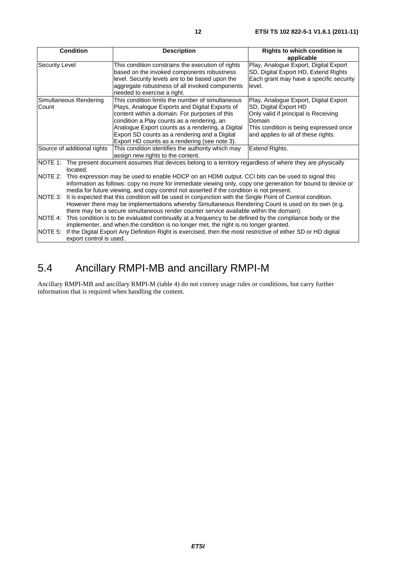| <b>Condition</b>                   | <b>Description</b>                                                                                                                                                                                                                                                                                                                                      | <b>Rights to which condition is</b><br>applicable                                                                                                                                                 |
|------------------------------------|---------------------------------------------------------------------------------------------------------------------------------------------------------------------------------------------------------------------------------------------------------------------------------------------------------------------------------------------------------|---------------------------------------------------------------------------------------------------------------------------------------------------------------------------------------------------|
| <b>Security Level</b>              | This condition constrains the execution of rights<br>based on the invoked components robustness<br>level. Security levels are to be based upon the<br>aggregate robustness of all invoked components<br>needed to exercise a right.                                                                                                                     | Play, Analogue Export, Digital Export<br>SD, Digital Export HD, Extend Rights<br>Each grant may have a specific security<br>level.                                                                |
| Simultaneous Rendering<br>Count    | This condition limits the number of simultaneous<br>Plays, Analogue Exports and Digital Exports of<br>content within a domain. For purposes of this<br>condition a Play counts as a rendering, an<br>Analogue Export counts as a rendering, a Digital<br>Export SD counts as a rendering and a Digital<br>Export HD counts as a rendering (see note 3). | Play, Analogue Export, Digital Export<br>SD, Digital Export HD<br>Only valid if principal is Receiving<br>Domain<br>This condition is being expressed once<br>and applies to all of these rights. |
| Source of additional rights        | This condition identifies the authority which may<br>assign new rights to the content.                                                                                                                                                                                                                                                                  | Extend Rights.                                                                                                                                                                                    |
| located.                           | NOTE 1: The present document assumes that devices belong to a territory regardless of where they are physically                                                                                                                                                                                                                                         |                                                                                                                                                                                                   |
| NOTE 2:                            | This expression may be used to enable HDCP on an HDMI output. CCI bits can be used to signal this<br>information as follows: copy no more for immediate viewing only, copy one generation for bound to device or<br>media for future viewing, and copy control not asserted if the condition is not present.                                            |                                                                                                                                                                                                   |
| NOTE 3:                            | It is expected that this condition will be used in conjunction with the Single Point of Control condition.<br>However there may be implementations whereby Simultaneous Rendering Count is used on its own (e.g.<br>there may be a secure simultaneous render counter service available within the domain).                                             |                                                                                                                                                                                                   |
| NOTE 4:                            | This condition is to be evaluated continually at a frequency to be defined by the compliance body or the<br>implementer, and when the condition is no longer met, the right is no longer granted.                                                                                                                                                       |                                                                                                                                                                                                   |
| NOTE 5:<br>export control is used. | If the Digital Export Any Definition Right is exercised, then the most restrictive of either SD or HD digital                                                                                                                                                                                                                                           |                                                                                                                                                                                                   |

## 5.4 Ancillary RMPI-MB and ancillary RMPI-M

Ancillary RMPI-MB and ancillary RMPI-M (table 4) do not convey usage rules or conditions, but carry further information that is required when handling the content.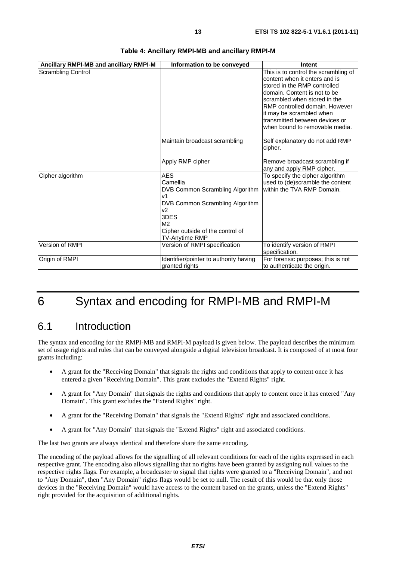| Ancillary RMPI-MB and ancillary RMPI-M | Information to be conveyed                                                                                                                                                                           | Intent                                                                                                                                                                                                                                                                                                  |
|----------------------------------------|------------------------------------------------------------------------------------------------------------------------------------------------------------------------------------------------------|---------------------------------------------------------------------------------------------------------------------------------------------------------------------------------------------------------------------------------------------------------------------------------------------------------|
| <b>Scrambling Control</b>              |                                                                                                                                                                                                      | This is to control the scrambling of<br>content when it enters and is<br>stored in the RMP controlled<br>domain. Content is not to be<br>scrambled when stored in the<br>RMP controlled domain. However<br>it may be scrambled when<br>transmitted between devices or<br>when bound to removable media. |
|                                        | Maintain broadcast scrambling                                                                                                                                                                        | Self explanatory do not add RMP<br>cipher.                                                                                                                                                                                                                                                              |
|                                        | Apply RMP cipher                                                                                                                                                                                     | Remove broadcast scrambling if<br>any and apply RMP cipher.                                                                                                                                                                                                                                             |
| Cipher algorithm                       | <b>AES</b><br>Camellia<br>DVB Common Scrambling Algorithm<br>V <sub>1</sub><br>DVB Common Scrambling Algorithm<br>v2<br>3DES<br>M <sub>2</sub><br>Cipher outside of the control of<br>TV-Anytime RMP | To specify the cipher algorithm<br>used to (de)scramble the content<br>within the TVA RMP Domain.                                                                                                                                                                                                       |
| Version of RMPI                        | Version of RMPI specification                                                                                                                                                                        | To identify version of RMPI<br>specification.                                                                                                                                                                                                                                                           |
| Origin of RMPI                         | Identifier/pointer to authority having<br>granted rights                                                                                                                                             | For forensic purposes; this is not<br>to authenticate the origin.                                                                                                                                                                                                                                       |

#### **Table 4: Ancillary RMPI-MB and ancillary RMPI-M**

## 6 Syntax and encoding for RMPI-MB and RMPI-M

### 6.1 Introduction

The syntax and encoding for the RMPI-MB and RMPI-M payload is given below. The payload describes the minimum set of usage rights and rules that can be conveyed alongside a digital television broadcast. It is composed of at most four grants including:

- A grant for the "Receiving Domain" that signals the rights and conditions that apply to content once it has entered a given "Receiving Domain". This grant excludes the "Extend Rights" right.
- A grant for "Any Domain" that signals the rights and conditions that apply to content once it has entered "Any Domain". This grant excludes the "Extend Rights" right.
- A grant for the "Receiving Domain" that signals the "Extend Rights" right and associated conditions.
- A grant for "Any Domain" that signals the "Extend Rights" right and associated conditions.

The last two grants are always identical and therefore share the same encoding.

The encoding of the payload allows for the signalling of all relevant conditions for each of the rights expressed in each respective grant. The encoding also allows signalling that no rights have been granted by assigning null values to the respective rights flags. For example, a broadcaster to signal that rights were granted to a "Receiving Domain", and not to "Any Domain", then "Any Domain" rights flags would be set to null. The result of this would be that only those devices in the "Receiving Domain" would have access to the content based on the grants, unless the "Extend Rights" right provided for the acquisition of additional rights.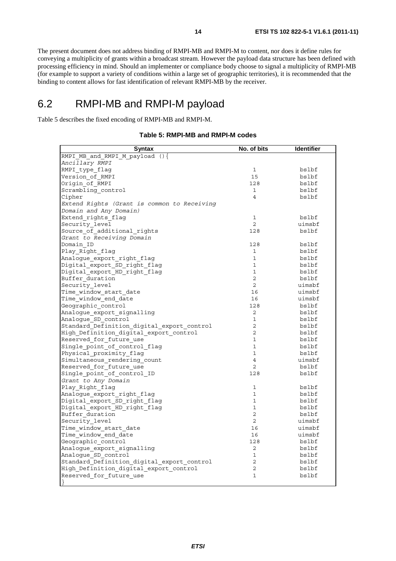The present document does not address binding of RMPI-MB and RMPI-M to content, nor does it define rules for conveying a multiplicity of grants within a broadcast stream. However the payload data structure has been defined with processing efficiency in mind. Should an implementer or compliance body choose to signal a multiplicity of RMPI-MB (for example to support a variety of conditions within a large set of geographic territories), it is recommended that the binding to content allows for fast identification of relevant RMPI-MB by the receiver.

### 6.2 RMPI-MB and RMPI-M payload

Table 5 describes the fixed encoding of RMPI-MB and RMPI-M.

#### **Table 5: RMPI-MB and RMPI-M codes**

| <b>Syntax</b>                               | No. of bits    | <b>Identifier</b> |
|---------------------------------------------|----------------|-------------------|
| RMPI MB and RMPI M payload $()$ {           |                |                   |
| Ancillary RMPI                              |                |                   |
| RMPI_type_flag                              | $\mathbf{1}$   | bslbf             |
| Version of RMPI                             | 15             | bslbf             |
| Origin of RMPI                              | 128            | bslbf             |
| Scrambling_control                          | $\mathbf{1}$   | bslbf             |
| Cipher                                      | $\overline{4}$ | bslbf             |
| Extend Rights (Grant is common to Receiving |                |                   |
| Domain and Any Domain)                      |                |                   |
| Extend_rights_flag                          | $\mathbf{1}$   | bslbf             |
| Security level                              | $\overline{2}$ | uimsbf            |
| Source of additional rights                 | 128            | bslbf             |
| Grant to Receiving Domain                   |                |                   |
| Domain ID                                   | 128            | bslbf             |
| Play Right flag                             | 1              | bslbf             |
| Analogue export right flag                  | $\mathbf{1}$   | bslbf             |
| Digital export SD right flag                | $\mathbf 1$    | bslbf             |
| Digital_export_HD_right_flag                | $\mathbf{1}$   | bslbf             |
| Buffer duration                             | $\overline{2}$ | bslbf             |
| Security level                              | $\overline{2}$ | uimsbf            |
| Time window start date                      | 16             | uimsbf            |
| Time window end date                        | 16             | uimsbf            |
| Geographic control                          | 128            | bslbf             |
| Analogue export signalling                  | $\overline{2}$ | bslbf             |
| Analoque SD control                         | $\mathbf{1}$   | bslbf             |
| Standard Definition digital export control  | $\overline{2}$ | bslbf             |
| High Definition digital export control      | 2              | bslbf             |
| Reserved for future use                     | $\mathbf{1}$   | bslbf             |
| Single point of control flag                | $\mathbf{1}$   | bslbf             |
| Physical proximity flag                     | $\mathbf{1}$   | bslbf             |
| Simultaneous rendering count                | $\overline{4}$ | uimsbf            |
| Reserved for future use                     | $\overline{2}$ | bslbf             |
| Single point of control ID                  | 128            | bslbf             |
| Grant to Any Domain                         |                |                   |
| Play Right flag                             | 1              | bslbf             |
| Analogue export right flag                  | $\mathbf{1}$   | bslbf             |
| Digital_export_SD_right_flag                | $\mathbf{1}$   | bslbf             |
|                                             | $\mathbf{1}$   | bslbf             |
| Digital_export_HD_right_flag                | $\overline{2}$ |                   |
| Buffer duration                             |                | bslbf             |
| Security level                              | $\overline{2}$ | uimsbf            |
| Time window start date                      | 16             | uimsbf            |
| Time window end date                        | 16             | uimsbf            |
| Geographic control                          | 128            | bslbf             |
| Analogue_export_signalling                  | $\overline{a}$ | bslbf             |
| Analogue_SD_control                         | $\mathbf 1$    | bslbf             |
| Standard Definition digital export control  | $\overline{2}$ | bslbf             |
| High Definition digital export control      | 2              | bslbf             |
| Reserved_for_future_use                     | $\mathbf{1}$   | bslbf             |
| $\{$                                        |                |                   |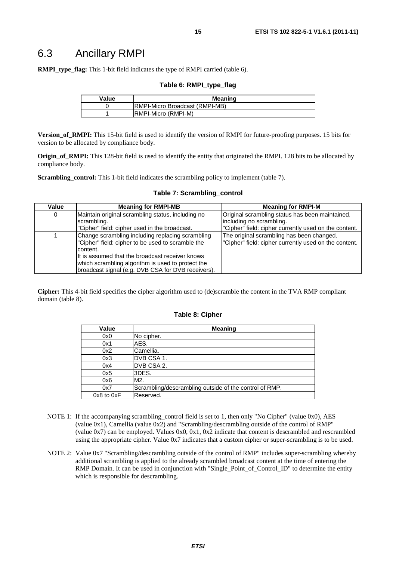**RMPI\_type\_flag:** This 1-bit field indicates the type of RMPI carried (table 6).

#### **Table 6: RMPI\_type\_flag**

| Value | <b>Meaning</b>                  |  |
|-------|---------------------------------|--|
|       | IRMPI-Micro Broadcast (RMPI-MB) |  |
|       | IRMPI-Micro (RMPI-M)            |  |

**Version\_of\_RMPI:** This 15-bit field is used to identify the version of RMPI for future-proofing purposes. 15 bits for version to be allocated by compliance body.

**Origin of RMPI:** This 128-bit field is used to identify the entity that originated the RMPI. 128 bits to be allocated by compliance body.

**Scrambling\_control:** This 1-bit field indicates the scrambling policy to implement (table 7).

| Value | <b>Meaning for RMPI-MB</b>                         | <b>Meaning for RMPI-M</b>                             |
|-------|----------------------------------------------------|-------------------------------------------------------|
| 0     | Maintain original scrambling status, including no  | Original scrambling status has been maintained,       |
|       | scrambling.                                        | including no scrambling.                              |
|       | "Cipher" field: cipher used in the broadcast.      | "Cipher" field: cipher currently used on the content. |
|       | Change scrambling including replacing scrambling   | The original scrambling has been changed.             |
|       | "Cipher" field: cipher to be used to scramble the  | "Cipher" field: cipher currently used on the content. |
|       | content.                                           |                                                       |
|       | It is assumed that the broadcast receiver knows    |                                                       |
|       | which scrambling algorithm is used to protect the  |                                                       |
|       | broadcast signal (e.g. DVB CSA for DVB receivers). |                                                       |

#### **Table 7: Scrambling\_control**

**Cipher:** This 4-bit field specifies the cipher algorithm used to (de)scramble the content in the TVA RMP compliant domain (table 8).

#### **Table 8: Cipher**

| Value      | <b>Meaning</b>                                         |
|------------|--------------------------------------------------------|
| 0x0        | No cipher.                                             |
| 0x1        | AES.                                                   |
| 0x2        | Camellia.                                              |
| 0x3        | DVB CSA 1.                                             |
| 0x4        | DVB CSA 2.                                             |
| 0x5        | 3DES.                                                  |
| 0x6        | M <sub>2</sub> .                                       |
| 0x7        | Scrambling/descrambling outside of the control of RMP. |
| 0x8 to 0xF | Reserved.                                              |

- NOTE 1: If the accompanying scrambling control field is set to 1, then only "No Cipher" (value 0x0), AES (value 0x1), Camellia (value 0x2) and "Scrambling/descrambling outside of the control of RMP" (value  $0x7$ ) can be employed. Values  $0x0$ ,  $0x1$ ,  $0x2$  indicate that content is descrambled and rescrambled using the appropriate cipher. Value 0x7 indicates that a custom cipher or super-scrambling is to be used.
- NOTE 2: Value 0x7 "Scrambling/descrambling outside of the control of RMP" includes super-scrambling whereby additional scrambling is applied to the already scrambled broadcast content at the time of entering the RMP Domain. It can be used in conjunction with "Single\_Point\_of\_Control\_ID" to determine the entity which is responsible for descrambling.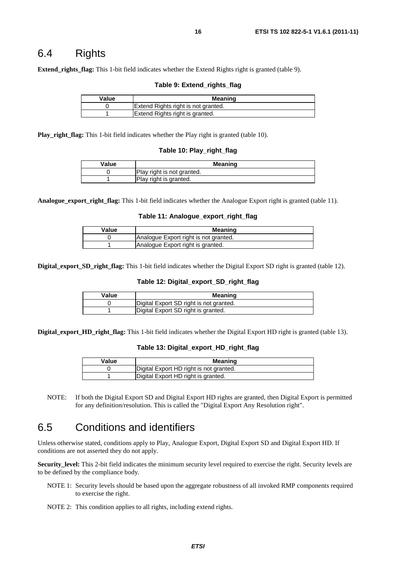### 6.4 Rights

**Extend\_rights\_flag:** This 1-bit field indicates whether the Extend Rights right is granted (table 9).

#### **Table 9: Extend\_rights\_flag**

| Value | Meaning                             |
|-------|-------------------------------------|
|       | Extend Rights right is not granted. |
|       | Extend Rights right is granted.     |

**Play\_right\_flag:** This 1-bit field indicates whether the Play right is granted (table 10).

#### **Table 10: Play\_right\_flag**

| Value | Meaning                    |
|-------|----------------------------|
|       | Play right is not granted. |
|       | Play right is granted.     |

**Analogue\_export\_right\_flag:** This 1-bit field indicates whether the Analogue Export right is granted (table 11).

#### **Table 11: Analogue\_export\_right\_flag**

| Value | Meaning                               |
|-------|---------------------------------------|
|       | Analogue Export right is not granted. |
|       | Analogue Export right is granted.     |

**Digital export SD right flag:** This 1-bit field indicates whether the Digital Export SD right is granted (table 12).

#### **Table 12: Digital\_export\_SD\_right\_flag**

| Value | Meaning                                 |
|-------|-----------------------------------------|
|       | Digital Export SD right is not granted. |
|       | Digital Export SD right is granted.     |

**Digital\_export\_HD\_right\_flag:** This 1-bit field indicates whether the Digital Export HD right is granted (table 13).

#### **Table 13: Digital\_export\_HD\_right\_flag**

| Value | Meaning                                 |
|-------|-----------------------------------------|
|       | Digital Export HD right is not granted. |
|       | Digital Export HD right is granted.     |

NOTE: If both the Digital Export SD and Digital Export HD rights are granted, then Digital Export is permitted for any definition/resolution. This is called the "Digital Export Any Resolution right".

### 6.5 Conditions and identifiers

Unless otherwise stated, conditions apply to Play, Analogue Export, Digital Export SD and Digital Export HD. If conditions are not asserted they do not apply.

**Security\_level:** This 2-bit field indicates the minimum security level required to exercise the right. Security levels are to be defined by the compliance body.

- NOTE 1: Security levels should be based upon the aggregate robustness of all invoked RMP components required to exercise the right.
- NOTE 2: This condition applies to all rights, including extend rights.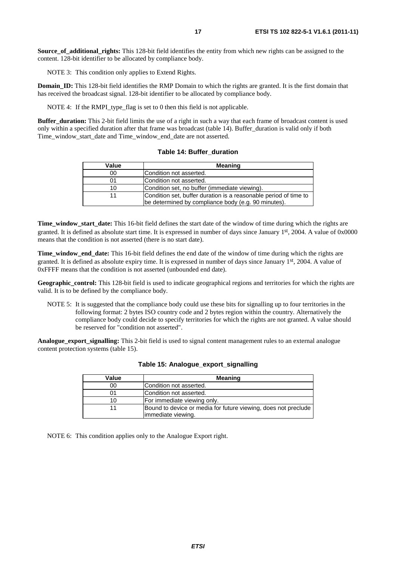**Source of additional rights:** This 128-bit field identifies the entity from which new rights can be assigned to the content. 128-bit identifier to be allocated by compliance body.

NOTE 3: This condition only applies to Extend Rights.

**Domain ID:** This 128-bit field identifies the RMP Domain to which the rights are granted. It is the first domain that has received the broadcast signal. 128-bit identifier to be allocated by compliance body.

NOTE 4: If the RMPI type flag is set to 0 then this field is not applicable.

**Buffer duration:** This 2-bit field limits the use of a right in such a way that each frame of broadcast content is used only within a specified duration after that frame was broadcast (table 14). Buffer\_duration is valid only if both Time\_window\_start\_date and Time\_window\_end\_date are not asserted.

| Value | <b>Meaning</b>                                                                                                          |
|-------|-------------------------------------------------------------------------------------------------------------------------|
| 00    | Condition not asserted.                                                                                                 |
| 01    | Condition not asserted.                                                                                                 |
| 10    | Condition set, no buffer (immediate viewing).                                                                           |
|       | Condition set, buffer duration is a reasonable period of time to<br>be determined by compliance body (e.g. 90 minutes). |

**Table 14: Buffer\_duration** 

**Time\_window\_start\_date:** This 16-bit field defines the start date of the window of time during which the rights are granted. It is defined as absolute start time. It is expressed in number of days since January 1st, 2004. A value of 0x0000 means that the condition is not asserted (there is no start date).

**Time\_window\_end\_date:** This 16-bit field defines the end date of the window of time during which the rights are granted. It is defined as absolute expiry time. It is expressed in number of days since January 1st, 2004. A value of 0xFFFF means that the condition is not asserted (unbounded end date).

**Geographic\_control:** This 128-bit field is used to indicate geographical regions and territories for which the rights are valid. It is to be defined by the compliance body.

NOTE 5: It is suggested that the compliance body could use these bits for signalling up to four territories in the following format: 2 bytes ISO country code and 2 bytes region within the country. Alternatively the compliance body could decide to specify territories for which the rights are not granted. A value should be reserved for "condition not asserted".

**Analogue\_export\_signalling:** This 2-bit field is used to signal content management rules to an external analogue content protection systems (table 15).

| Value | <b>Meaning</b>                                                 |
|-------|----------------------------------------------------------------|
| 00    | Condition not asserted.                                        |
| 01    | lCondition not asserted.                                       |
| 10    | For immediate viewing only.                                    |
|       | Bound to device or media for future viewing, does not preclude |
|       | limmediate viewing.                                            |

#### **Table 15: Analogue\_export\_signalling**

NOTE 6: This condition applies only to the Analogue Export right.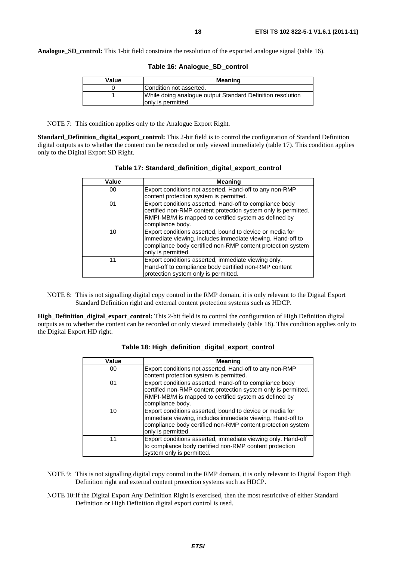**Analogue SD control:** This 1-bit field constrains the resolution of the exported analogue signal (table 16).

| Value | <b>Meaning</b>                                                                    |
|-------|-----------------------------------------------------------------------------------|
|       | Condition not asserted.                                                           |
|       | While doing analogue output Standard Definition resolution<br>lonly is permitted. |

NOTE 7: This condition applies only to the Analogue Export Right.

**Standard\_Definition\_digital\_export\_control:** This 2-bit field is to control the configuration of Standard Definition digital outputs as to whether the content can be recorded or only viewed immediately (table 17). This condition applies only to the Digital Export SD Right.

| Value | Meaning                                                                                                                                                                                                     |
|-------|-------------------------------------------------------------------------------------------------------------------------------------------------------------------------------------------------------------|
| 00    | Export conditions not asserted. Hand-off to any non-RMP<br>content protection system is permitted.                                                                                                          |
| 01    | Export conditions asserted. Hand-off to compliance body<br>certified non-RMP content protection system only is permitted.<br>RMPI-MB/M is mapped to certified system as defined by<br>compliance body.      |
| 10    | Export conditions asserted, bound to device or media for<br>immediate viewing, includes immediate viewing. Hand-off to<br>compliance body certified non-RMP content protection system<br>only is permitted. |
| 11    | Export conditions asserted, immediate viewing only.<br>Hand-off to compliance body certified non-RMP content<br>protection system only is permitted.                                                        |

| Table 17: Standard_definition_digital_export_control |  |  |  |
|------------------------------------------------------|--|--|--|
|------------------------------------------------------|--|--|--|

NOTE 8: This is not signalling digital copy control in the RMP domain, it is only relevant to the Digital Export Standard Definition right and external content protection systems such as HDCP.

**High\_Definition\_digital\_export\_control:** This 2-bit field is to control the configuration of High Definition digital outputs as to whether the content can be recorded or only viewed immediately (table 18). This condition applies only to the Digital Export HD right.

| Value | <b>Meaning</b>                                                                                                                                                                                              |
|-------|-------------------------------------------------------------------------------------------------------------------------------------------------------------------------------------------------------------|
| 00    | Export conditions not asserted. Hand-off to any non-RMP                                                                                                                                                     |
|       | content protection system is permitted.                                                                                                                                                                     |
| 01    | Export conditions asserted. Hand-off to compliance body<br>certified non-RMP content protection system only is permitted.<br>RMPI-MB/M is mapped to certified system as defined by<br>compliance body.      |
| 10    | Export conditions asserted, bound to device or media for<br>immediate viewing, includes immediate viewing. Hand-off to<br>compliance body certified non-RMP content protection system<br>only is permitted. |
| 11    | Export conditions asserted, immediate viewing only. Hand-off<br>to compliance body certified non-RMP content protection<br>system only is permitted.                                                        |

| Table 18: High_definition_digital_export_control |  |  |  |  |
|--------------------------------------------------|--|--|--|--|
|--------------------------------------------------|--|--|--|--|

- NOTE 9: This is not signalling digital copy control in the RMP domain, it is only relevant to Digital Export High Definition right and external content protection systems such as HDCP.
- NOTE 10: If the Digital Export Any Definition Right is exercised, then the most restrictive of either Standard Definition or High Definition digital export control is used.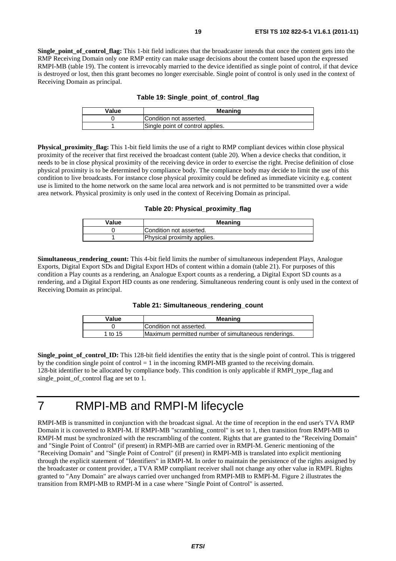**Single** point of control flag: This 1-bit field indicates that the broadcaster intends that once the content gets into the RMP Receiving Domain only one RMP entity can make usage decisions about the content based upon the expressed RMPI-MB (table 19). The content is irrevocably married to the device identified as single point of control, if that device is destroyed or lost, then this grant becomes no longer exercisable. Single point of control is only used in the context of Receiving Domain as principal.

| Table 19: Single_point_of_control_flag |  |  |  |  |  |
|----------------------------------------|--|--|--|--|--|
|----------------------------------------|--|--|--|--|--|

| Value | <b>Meaning</b>                   |
|-------|----------------------------------|
|       | Condition not asserted.          |
|       | Single point of control applies. |

**Physical proximity flag:** This 1-bit field limits the use of a right to RMP compliant devices within close physical proximity of the receiver that first received the broadcast content (table 20). When a device checks that condition, it needs to be in close physical proximity of the receiving device in order to exercise the right. Precise definition of close physical proximity is to be determined by compliance body. The compliance body may decide to limit the use of this condition to live broadcasts. For instance close physical proximity could be defined as immediate vicinity e.g. content use is limited to the home network on the same local area network and is not permitted to be transmitted over a wide area network. Physical proximity is only used in the context of Receiving Domain as principal.

**Table 20: Physical\_proximity\_flag**

| Value | <b>Meaning</b>              |
|-------|-----------------------------|
|       | Condition not asserted.     |
|       | Physical proximity applies. |

**Simultaneous\_rendering\_count:** This 4-bit field limits the number of simultaneous independent Plays, Analogue Exports, Digital Export SDs and Digital Export HDs of content within a domain (table 21). For purposes of this condition a Play counts as a rendering, an Analogue Export counts as a rendering, a Digital Export SD counts as a rendering, and a Digital Export HD counts as one rendering. Simultaneous rendering count is only used in the context of Receiving Domain as principal.

### **Table 21: Simultaneous\_rendering\_count**

| Value   | <b>Meaning</b>                                       |
|---------|------------------------------------------------------|
|         | Condition not asserted.                              |
| 1 to 15 | Maximum permitted number of simultaneous renderings. |

**Single** point of control **ID:** This 128-bit field identifies the entity that is the single point of control. This is triggered by the condition single point of control  $= 1$  in the incoming RMPI-MB granted to the receiving domain. 128-bit identifier to be allocated by compliance body. This condition is only applicable if RMPI\_type\_flag and single\_point\_of\_control flag are set to 1.

### 7 RMPI-MB and RMPI-M lifecycle

RMPI-MB is transmitted in conjunction with the broadcast signal. At the time of reception in the end user's TVA RMP Domain it is converted to RMPI-M. If RMPI-MB "scrambling\_control" is set to 1, then transition from RMPI-MB to RMPI-M must be synchronized with the rescrambling of the content. Rights that are granted to the "Receiving Domain" and "Single Point of Control" (if present) in RMPI-MB are carried over in RMPI-M. Generic mentioning of the "Receiving Domain" and "Single Point of Control" (if present) in RMPI-MB is translated into explicit mentioning through the explicit statement of "Identifiers" in RMPI-M. In order to maintain the persistence of the rights assigned by the broadcaster or content provider, a TVA RMP compliant receiver shall not change any other value in RMPI. Rights granted to "Any Domain" are always carried over unchanged from RMPI-MB to RMPI-M. Figure 2 illustrates the transition from RMPI-MB to RMPI-M in a case where "Single Point of Control" is asserted.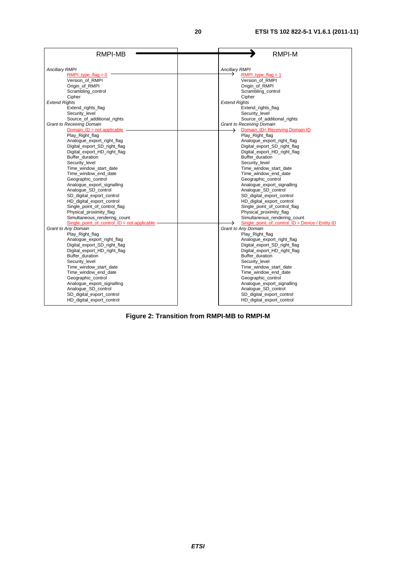| <b>Ancillary RMPI</b><br><b>Ancillary RMPI</b><br>RMPI type flag = $0$<br>RMPI type $f$ lag = 1<br>Version of RMPI<br>Version of RMPI<br>Origin of RMPI<br>Origin of RMPI<br>Scrambling control<br>Scrambling control<br>Cipher<br>Cipher<br><b>Extend Rights</b><br><b>Extend Rights</b><br>Extend rights flag<br>Extend rights flag<br>Security_level<br>Security_level<br>Source_of_additional_rights<br>Source_of_additional_rights<br><b>Grant to Receiving Domain</b><br><b>Grant to Receiving Domain</b><br>Domain_ID= Receiving Domain ID<br>Domain $ID = not applicable$<br>→<br>Play_Right_flag<br>Play_Right_flag<br>Analogue_export_right_flag<br>Analogue_export_right_flag<br>Digital_export_SD_right_flag<br>Digital_export_SD_right_flag<br>Digital_export_HD_right_flag<br>Digital_export_HD_right_flag<br>Buffer_duration<br>Buffer duration<br>Security level<br>Security level<br>Time_window_start_date<br>Time_window_start_date<br>Time_window_end_date<br>Time_window_end_date<br>Geographic control<br>Geographic_control<br>Analogue_export_signalling<br>Analogue_export_signalling<br>Analogue SD control<br>Analogue_SD_control<br>SD_digital_export_control<br>SD_digital_export_control<br>HD_digital_export_control<br>HD_digital_export_control | RMPI-MB | <b>RMPI-M</b> |
|----------------------------------------------------------------------------------------------------------------------------------------------------------------------------------------------------------------------------------------------------------------------------------------------------------------------------------------------------------------------------------------------------------------------------------------------------------------------------------------------------------------------------------------------------------------------------------------------------------------------------------------------------------------------------------------------------------------------------------------------------------------------------------------------------------------------------------------------------------------------------------------------------------------------------------------------------------------------------------------------------------------------------------------------------------------------------------------------------------------------------------------------------------------------------------------------------------------------------------------------------------------------------------|---------|---------------|
|                                                                                                                                                                                                                                                                                                                                                                                                                                                                                                                                                                                                                                                                                                                                                                                                                                                                                                                                                                                                                                                                                                                                                                                                                                                                                  |         |               |
|                                                                                                                                                                                                                                                                                                                                                                                                                                                                                                                                                                                                                                                                                                                                                                                                                                                                                                                                                                                                                                                                                                                                                                                                                                                                                  |         |               |
|                                                                                                                                                                                                                                                                                                                                                                                                                                                                                                                                                                                                                                                                                                                                                                                                                                                                                                                                                                                                                                                                                                                                                                                                                                                                                  |         |               |
|                                                                                                                                                                                                                                                                                                                                                                                                                                                                                                                                                                                                                                                                                                                                                                                                                                                                                                                                                                                                                                                                                                                                                                                                                                                                                  |         |               |
|                                                                                                                                                                                                                                                                                                                                                                                                                                                                                                                                                                                                                                                                                                                                                                                                                                                                                                                                                                                                                                                                                                                                                                                                                                                                                  |         |               |
|                                                                                                                                                                                                                                                                                                                                                                                                                                                                                                                                                                                                                                                                                                                                                                                                                                                                                                                                                                                                                                                                                                                                                                                                                                                                                  |         |               |
|                                                                                                                                                                                                                                                                                                                                                                                                                                                                                                                                                                                                                                                                                                                                                                                                                                                                                                                                                                                                                                                                                                                                                                                                                                                                                  |         |               |
|                                                                                                                                                                                                                                                                                                                                                                                                                                                                                                                                                                                                                                                                                                                                                                                                                                                                                                                                                                                                                                                                                                                                                                                                                                                                                  |         |               |
|                                                                                                                                                                                                                                                                                                                                                                                                                                                                                                                                                                                                                                                                                                                                                                                                                                                                                                                                                                                                                                                                                                                                                                                                                                                                                  |         |               |
|                                                                                                                                                                                                                                                                                                                                                                                                                                                                                                                                                                                                                                                                                                                                                                                                                                                                                                                                                                                                                                                                                                                                                                                                                                                                                  |         |               |
|                                                                                                                                                                                                                                                                                                                                                                                                                                                                                                                                                                                                                                                                                                                                                                                                                                                                                                                                                                                                                                                                                                                                                                                                                                                                                  |         |               |
|                                                                                                                                                                                                                                                                                                                                                                                                                                                                                                                                                                                                                                                                                                                                                                                                                                                                                                                                                                                                                                                                                                                                                                                                                                                                                  |         |               |
|                                                                                                                                                                                                                                                                                                                                                                                                                                                                                                                                                                                                                                                                                                                                                                                                                                                                                                                                                                                                                                                                                                                                                                                                                                                                                  |         |               |
|                                                                                                                                                                                                                                                                                                                                                                                                                                                                                                                                                                                                                                                                                                                                                                                                                                                                                                                                                                                                                                                                                                                                                                                                                                                                                  |         |               |
|                                                                                                                                                                                                                                                                                                                                                                                                                                                                                                                                                                                                                                                                                                                                                                                                                                                                                                                                                                                                                                                                                                                                                                                                                                                                                  |         |               |
|                                                                                                                                                                                                                                                                                                                                                                                                                                                                                                                                                                                                                                                                                                                                                                                                                                                                                                                                                                                                                                                                                                                                                                                                                                                                                  |         |               |
|                                                                                                                                                                                                                                                                                                                                                                                                                                                                                                                                                                                                                                                                                                                                                                                                                                                                                                                                                                                                                                                                                                                                                                                                                                                                                  |         |               |
|                                                                                                                                                                                                                                                                                                                                                                                                                                                                                                                                                                                                                                                                                                                                                                                                                                                                                                                                                                                                                                                                                                                                                                                                                                                                                  |         |               |
|                                                                                                                                                                                                                                                                                                                                                                                                                                                                                                                                                                                                                                                                                                                                                                                                                                                                                                                                                                                                                                                                                                                                                                                                                                                                                  |         |               |
|                                                                                                                                                                                                                                                                                                                                                                                                                                                                                                                                                                                                                                                                                                                                                                                                                                                                                                                                                                                                                                                                                                                                                                                                                                                                                  |         |               |
|                                                                                                                                                                                                                                                                                                                                                                                                                                                                                                                                                                                                                                                                                                                                                                                                                                                                                                                                                                                                                                                                                                                                                                                                                                                                                  |         |               |
|                                                                                                                                                                                                                                                                                                                                                                                                                                                                                                                                                                                                                                                                                                                                                                                                                                                                                                                                                                                                                                                                                                                                                                                                                                                                                  |         |               |
|                                                                                                                                                                                                                                                                                                                                                                                                                                                                                                                                                                                                                                                                                                                                                                                                                                                                                                                                                                                                                                                                                                                                                                                                                                                                                  |         |               |
|                                                                                                                                                                                                                                                                                                                                                                                                                                                                                                                                                                                                                                                                                                                                                                                                                                                                                                                                                                                                                                                                                                                                                                                                                                                                                  |         |               |
| Single_point_of_control_flag<br>Single point of control flag                                                                                                                                                                                                                                                                                                                                                                                                                                                                                                                                                                                                                                                                                                                                                                                                                                                                                                                                                                                                                                                                                                                                                                                                                     |         |               |
| Physical_proximity_flag<br>Physical_proximity_flag                                                                                                                                                                                                                                                                                                                                                                                                                                                                                                                                                                                                                                                                                                                                                                                                                                                                                                                                                                                                                                                                                                                                                                                                                               |         |               |
| Simultaneous_rendering_count<br>Simultaneous_rendering_count                                                                                                                                                                                                                                                                                                                                                                                                                                                                                                                                                                                                                                                                                                                                                                                                                                                                                                                                                                                                                                                                                                                                                                                                                     |         |               |
| Single point of control $ID = not applicable$<br>Single point of control $ID = Device / Entity ID$                                                                                                                                                                                                                                                                                                                                                                                                                                                                                                                                                                                                                                                                                                                                                                                                                                                                                                                                                                                                                                                                                                                                                                               |         |               |
| Grant to Any Domain<br>Grant to Any Domain                                                                                                                                                                                                                                                                                                                                                                                                                                                                                                                                                                                                                                                                                                                                                                                                                                                                                                                                                                                                                                                                                                                                                                                                                                       |         |               |
| Play_Right_flag<br>Play_Right_flag                                                                                                                                                                                                                                                                                                                                                                                                                                                                                                                                                                                                                                                                                                                                                                                                                                                                                                                                                                                                                                                                                                                                                                                                                                               |         |               |
| Analogue_export_right_flag<br>Analogue_export_right_flag                                                                                                                                                                                                                                                                                                                                                                                                                                                                                                                                                                                                                                                                                                                                                                                                                                                                                                                                                                                                                                                                                                                                                                                                                         |         |               |
| Digital_export_SD_right_flag<br>Digital_export_SD_right_flag                                                                                                                                                                                                                                                                                                                                                                                                                                                                                                                                                                                                                                                                                                                                                                                                                                                                                                                                                                                                                                                                                                                                                                                                                     |         |               |
| Digital_export_HD_right_flag<br>Digital_export_HD_right_flag                                                                                                                                                                                                                                                                                                                                                                                                                                                                                                                                                                                                                                                                                                                                                                                                                                                                                                                                                                                                                                                                                                                                                                                                                     |         |               |
| Buffer duration<br>Buffer duration                                                                                                                                                                                                                                                                                                                                                                                                                                                                                                                                                                                                                                                                                                                                                                                                                                                                                                                                                                                                                                                                                                                                                                                                                                               |         |               |
| Security_level<br>Security_level                                                                                                                                                                                                                                                                                                                                                                                                                                                                                                                                                                                                                                                                                                                                                                                                                                                                                                                                                                                                                                                                                                                                                                                                                                                 |         |               |
| Time_window_start_date<br>Time window start date                                                                                                                                                                                                                                                                                                                                                                                                                                                                                                                                                                                                                                                                                                                                                                                                                                                                                                                                                                                                                                                                                                                                                                                                                                 |         |               |
| Time_window_end_date<br>Time_window_end_date                                                                                                                                                                                                                                                                                                                                                                                                                                                                                                                                                                                                                                                                                                                                                                                                                                                                                                                                                                                                                                                                                                                                                                                                                                     |         |               |
| Geographic_control<br>Geographic_control                                                                                                                                                                                                                                                                                                                                                                                                                                                                                                                                                                                                                                                                                                                                                                                                                                                                                                                                                                                                                                                                                                                                                                                                                                         |         |               |
| Analogue_export_signalling<br>Analogue_export_signalling                                                                                                                                                                                                                                                                                                                                                                                                                                                                                                                                                                                                                                                                                                                                                                                                                                                                                                                                                                                                                                                                                                                                                                                                                         |         |               |
| Analogue_SD_control<br>Analogue_SD_control                                                                                                                                                                                                                                                                                                                                                                                                                                                                                                                                                                                                                                                                                                                                                                                                                                                                                                                                                                                                                                                                                                                                                                                                                                       |         |               |
| SD digital export control<br>SD digital export control                                                                                                                                                                                                                                                                                                                                                                                                                                                                                                                                                                                                                                                                                                                                                                                                                                                                                                                                                                                                                                                                                                                                                                                                                           |         |               |
| HD_digital_export_control<br>HD_digital_export_control                                                                                                                                                                                                                                                                                                                                                                                                                                                                                                                                                                                                                                                                                                                                                                                                                                                                                                                                                                                                                                                                                                                                                                                                                           |         |               |

**Figure 2: Transition from RMPI-MB to RMPI-M**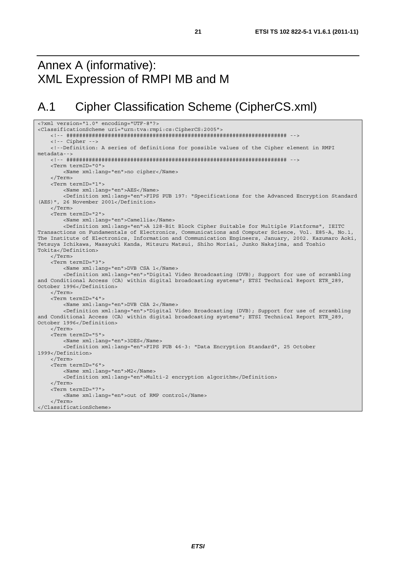## Annex A (informative): XML Expression of RMPI MB and M

## A.1 Cipher Classification Scheme (CipherCS.xml)

```
<?xml version="1.0" encoding="UTF-8"?> 
<ClassificationScheme uri="urn:tva:rmpi:cs:CipherCS:2005"> 
     <!-- ##################################################################### --> 
     <!-- Cipher --> 
     <!--Definition: A series of definitions for possible values of the Cipher element in RMPI 
metadata--> 
     <!-- ##################################################################### --> 
     <Term termID="0"> 
         <Name xml:lang="en">no cipher</Name> 
     </Term> 
     <Term termID="1"> 
         <Name xml:lang="en">AES</Name> 
         <Definition xml:lang="en">FIPS PUB 197: "Specifications for the Advanced Encryption Standard 
(AES)", 26 November 2001</Definition> 
     </Term> 
     <Term termID="2"> 
         <Name xml:lang="en">Camellia</Name> 
         <Definition xml:lang="en">A 128-Bit Block Cipher Suitable for Multiple Platforms", IEITC 
Transactions on Fundamentals of Electronics, Communications and Computer Science, Vol. E85-A, No.1, 
The Institute of Electronics, Information and Communication Engineers, January, 2002. Kazumaro Aoki, 
Tetsuya Ichikawa, Masayuki Kanda, Mitsuru Matsui, Shiho Moriai, Junko Nakajima, and Toshio 
Tokita</Definition> 
     </Term> 
     <Term termID="3"> 
         <Name xml:lang="en">DVB CSA 1</Name> 
         <Definition xml:lang="en">"Digital Video Broadcasting (DVB); Support for use of scrambling 
and Conditional Access (CA) within digital broadcasting systems"; ETSI Technical Report ETR 289,
October 1996</Definition> 
     </Term> 
     <Term termID="4"> 
         <Name xml:lang="en">DVB CSA 2</Name> 
         <Definition xml:lang="en">"Digital Video Broadcasting (DVB); Support for use of scrambling 
and Conditional Access (CA) within digital broadcasting systems"; ETSI Technical Report ETR 289,
October 1996</Definition> 
     </Term> 
     <Term termID="5"> 
         <Name xml:lang="en">3DES</Name> 
         <Definition xml:lang="en">FIPS PUB 46-3: "Data Encryption Standard", 25 October 
1999</Definition> 
     </Term> 
     <Term termID="6"> 
         <Name xml:lang="en">M2</Name> 
         <Definition xml:lang="en">Multi-2 encryption algorithm</Definition> 
     </Term> 
     <Term termID="7"> 
        <Name xml:lang="en">out of RMP control</Name> 
     </Term> 
</ClassificationScheme>
```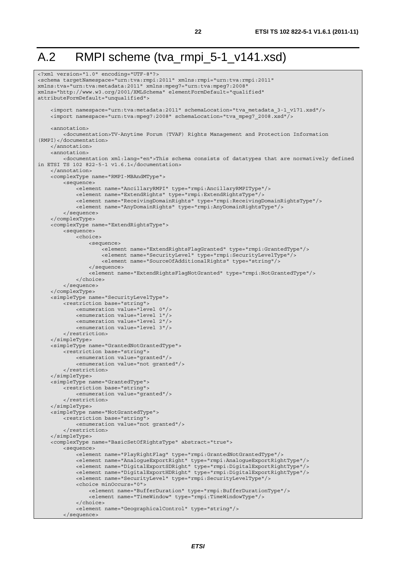## A.2 RMPI scheme (tva\_rmpi\_5-1\_v141.xsd)

```
<?xml version="1.0" encoding="UTF-8"?> 
<schema targetNamespace="urn:tva:rmpi:2011" xmlns:rmpi="urn:tva:rmpi:2011" 
xmlns:tva="urn:tva:metadata:2011" xmlns:mpeg7="urn:tva:mpeg7:2008" 
xmlns="http://www.w3.org/2001/XMLSchema" elementFormDefault="qualified" 
attributeFormDefault="unqualified"> 
     <import namespace="urn:tva:metadata:2011" schemaLocation="tva_metadata_3-1_v171.xsd"/> 
    \langleimport namespace="urn:tva:mpeg7:2008" schemaLocation="tva_mpeg7_2008.xsd"/>
     <annotation> 
          <documentation>TV-Anytime Forum (TVAF) Rights Management and Protection Information 
(RMPI)</documentation> 
     </annotation> 
    \tanh\arctan <documentation xml:lang="en">This schema consists of datatypes that are normatively defined 
in ETSI TS 102 822-5-1 v1.6.1</documentation> 
     </annotation> 
     <complexType name="RMPI-MBAndMType"> 
         <sequence> 
             <element name="AncillaryRMPI" type="rmpi:AncillaryRMPIType"/> 
              <element name="ExtendRights" type="rmpi:ExtendRightsType"/> 
              <element name="ReceivingDomainRights" type="rmpi:ReceivingDomainRightsType"/> 
             <element name="AnyDomainRights" type="rmpi:AnyDomainRightsType"/> 
         </sequence> 
     </complexType> 
     <complexType name="ExtendRightsType"> 
         <sequence> 
             <choice> 
                  <sequence> 
                      <element name="ExtendRightsFlagGranted" type="rmpi:GrantedType"/> 
                      <element name="SecurityLevel" type="rmpi:SecurityLevelType"/> 
                      <element name="SourceOfAdditionalRights" type="string"/> 
                  </sequence> 
                  <element name="ExtendRightsFlagNotGranted" type="rmpi:NotGrantedType"/> 
             </choice> 
         </sequence> 
     </complexType> 
     <simpleType name="SecurityLevelType"> 
         <restriction base="string"> 
             <enumeration value="level 0"/> 
              <enumeration value="level 1"/> 
             <enumeration value="level 2"/> 
             <enumeration value="level 3"/> 
         </restriction> 
     </simpleType> 
     <simpleType name="GrantedNotGrantedType"> 
         <restriction base="string"> 
             <enumeration value="granted"/> 
             <enumeration value="not granted"/> 
         </restriction> 
     </simpleType> 
     <simpleType name="GrantedType"> 
         <restriction base="string"> 
             <enumeration value="granted"/> 
         </restriction> 
     </simpleType> 
     <simpleType name="NotGrantedType"> 
         <restriction base="string"> 
             <enumeration value="not granted"/> 
         </restriction> 
     </simpleType> 
     <complexType name="BasicSetOfRightsType" abstract="true"> 
         <sequence> 
             <element name="PlayRightFlag" type="rmpi:GrantedNotGrantedType"/> 
              <element name="AnalogueExportRight" type="rmpi:AnalogueExportRightType"/> 
              <element name="DigitalExportSDRight" type="rmpi:DigitalExportRightType"/> 
             <element name="DigitalExportHDRight" type="rmpi:DigitalExportRightType"/> 
              <element name="SecurityLevel" type="rmpi:SecurityLevelType"/> 
             <choice minOccurs="0"> 
                  <element name="BufferDuration" type="rmpi:BufferDurationType"/> 
                  <element name="TimeWindow" type="rmpi:TimeWindowType"/> 
              </choice> 
              <element name="GeographicalControl" type="string"/> 
         </sequence>
```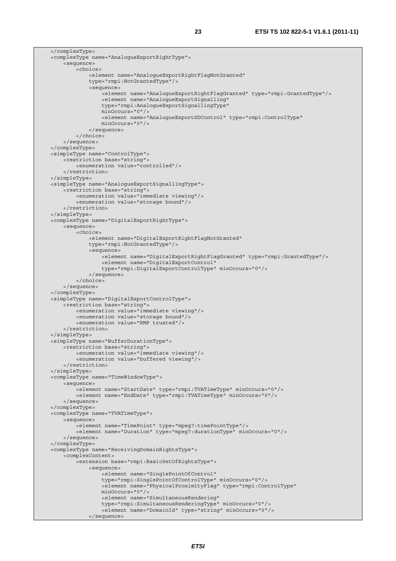</complexType> <complexType name="AnalogueExportRightType"> <sequence> <choice> <element name="AnalogueExportRightFlagNotGranted" type="rmpi:NotGrantedType"/> <sequence> -<br><element name="AnaloqueExportRightFlagGranted" type="rmpi:GrantedType"/> <element name="AnalogueExportSignalling" type="rmpi:AnalogueExportSignallingType" minOccurs="0"/> <element name="AnalogueExportSDControl" type="rmpi:ControlType" minOccurs="0"/> </sequence> </choice> </sequence> </complexType> <simpleType name="ControlType"> <restriction base="string"> <enumeration value="controlled"/> </restriction> </simpleType> <simpleType name="AnalogueExportSignallingType"> <restriction base="string"> <enumeration value="immediate viewing"/> <enumeration value="storage bound"/> </restriction> </simpleType> <complexType name="DigitalExportRightType"> <sequence> <choice> <element name="DigitalExportRightFlagNotGranted" type="rmpi:NotGrantedType"/> <sequence> <element name="DigitalExportRightFlagGranted" type="rmpi:GrantedType"/> <element name="DigitalExportControl" type="rmpi:DigitalExportControlType" minOccurs="0"/> </sequence> </choice> </sequence> </complexType> <simpleType name="DigitalExportControlType"> <restriction base="string"> <enumeration value="immediate viewing"/> <enumeration value="storage bound"/> <enumeration value="RMP trusted"/> </restriction> </simpleType> <simpleType name="BufferDurationType"> <restriction base="string"> <enumeration value="immediate viewing"/> <enumeration value="buffered viewing"/> </restriction> </simpleType> <complexType name="TimeWindowType"> <sequence> <element name="StartDate" type="rmpi:TVATimeType" minOccurs="0"/> <element name="EndDate" type="rmpi:TVATimeType" minOccurs="0"/> </sequence> </complexType> <complexType name="TVATimeType"> <sequence> <element name="TimePoint" type="mpeg7:timePointType"/> <element name="Duration" type="mpeg7:durationType" minOccurs="0"/> </sequence> </complexType> <complexType name="ReceivingDomainRightsType"> <complexContent> <extension base="rmpi:BasicSetOfRightsType"> <sequence> <element name="SinglePointOfControl" type="rmpi:SinglePointOfControlType" minOccurs="0"/> <element name="PhysicalProximityFlag" type="rmpi:ControlType" minOccurs="0"/> <element name="SimultaneousRendering" type="rmpi:SimultaneousRenderingType" minOccurs="0"/> <element name="DomainId" type="string" minOccurs="0"/> </sequence>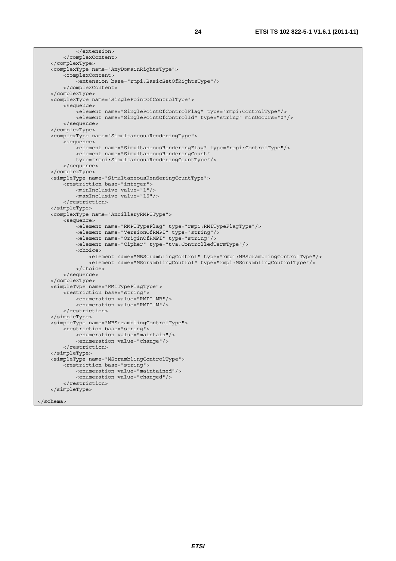```
 </extension> 
     </complexContent> 
 </complexType> 
 <complexType name="AnyDomainRightsType"> 
     <complexContent> 
         <extension base="rmpi:BasicSetOfRightsType"/> 
     </complexContent> 
 </complexType> 
 <complexType name="SinglePointOfControlType"> 
     <sequence> 
         <element name="SinglePointOfControlFlag" type="rmpi:ControlType"/> 
         <element name="SinglePointOfControlId" type="string" minOccurs="0"/> 
     </sequence> 
 </complexType> 
 <complexType name="SimultaneousRenderingType"> 
     <sequence> 
         <element name="SimultaneousRenderingFlag" type="rmpi:ControlType"/> 
         <element name="SimultaneousRenderingCount" 
         type="rmpi:SimultaneousRenderingCountType"/> 
     </sequence> 
 </complexType> 
 <simpleType name="SimultaneousRenderingCountType"> 
     <restriction base="integer"> 
         <minInclusive value="1"/> 
         <maxInclusive value="15"/> 
     </restriction> 
 </simpleType> 
 <complexType name="AncillaryRMPIType"> 
     <sequence> 
         <element name="RMPITypeFlag" type="rmpi:RMITypeFlagType"/> 
         <element name="VersionOfRMPI" type="string"/> 
         <element name="OriginOfRMPI" type="string"/> 
         <element name="Cipher" type="tva:ControlledTermType"/> 
         <choice> 
              <element name="MBScramblingControl" type="rmpi:MBScramblingControlType"/> 
              <element name="MScramblingControl" type="rmpi:MScramblingControlType"/> 
         </choice> 
     </sequence> 
 </complexType> 
 <simpleType name="RMITypeFlagType"> 
    <restriction base="string"
         <enumeration value="RMPI-MB"/> 
         <enumeration value="RMPI-M"/> 
     </restriction> 
 </simpleType> 
 <simpleType name="MBScramblingControlType"> 
     <restriction base="string"> 
         <enumeration value="maintain"/> 
         <enumeration value="change"/> 
     </restriction> 
 </simpleType> 
 <simpleType name="MScramblingControlType"> 
     <restriction base="string"> 
         <enumeration value="maintained"/> 
         <enumeration value="changed"/> 
     </restriction> 
 </simpleType>
```

```
</schema>
```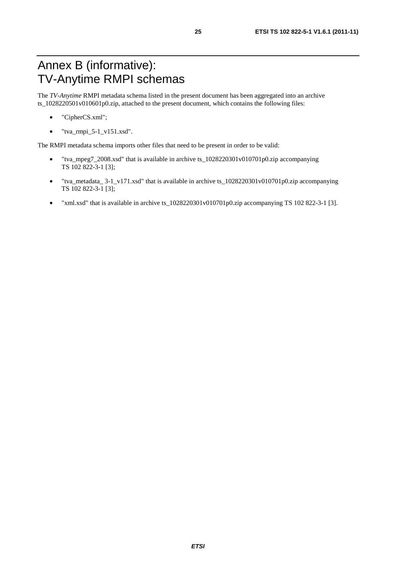## Annex B (informative): TV-Anytime RMPI schemas

The *TV-Anytime* RMPI metadata schema listed in the present document has been aggregated into an archive ts\_1028220501v010601p0.zip, attached to the present document, which contains the following files:

- "CipherCS.xml";
- $\bullet$  "tva\_rmpi\_5-1\_v151.xsd".

The RMPI metadata schema imports other files that need to be present in order to be valid:

- "tva\_mpeg7\_2008.xsd" that is available in archive ts\_1028220301v010701p0.zip accompanying TS 102 822-3-1 [3];
- "tva\_metadata\_ 3-1\_v171.xsd" that is available in archive ts\_1028220301v010701p0.zip accompanying TS 102 822-3-1 [3];
- "xml.xsd" that is available in archive ts\_1028220301v010701p0.zip accompanying TS 102 822-3-1 [3].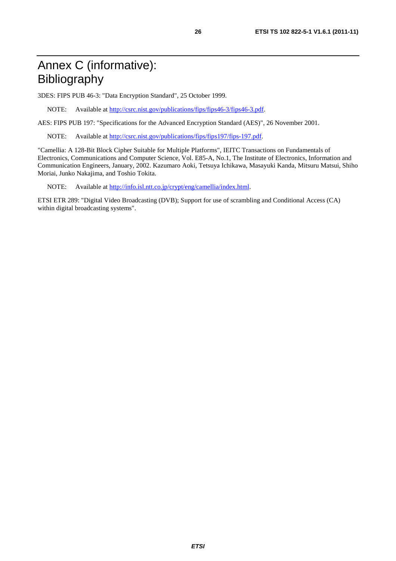## Annex C (informative): Bibliography

3DES: FIPS PUB 46-3: "Data Encryption Standard", 25 October 1999.

NOTE: Available at [http://csrc.nist.gov/publications/fips/fips46-3/fips46-3.pdf.](http://csrc.nist.gov/publications/fips/fips46-3/fips46-3.pdf) 

AES: FIPS PUB 197: "Specifications for the Advanced Encryption Standard (AES)", 26 November 2001.

NOTE: Available at [http://csrc.nist.gov/publications/fips/fips197/fips-197.pdf.](http://csrc.nist.gov/publications/fips/fips197/fips-197.pdf) 

"Camellia: A 128-Bit Block Cipher Suitable for Multiple Platforms", IEITC Transactions on Fundamentals of Electronics, Communications and Computer Science, Vol. E85-A, No.1, The Institute of Electronics, Information and Communication Engineers, January, 2002. Kazumaro Aoki, Tetsuya Ichikawa, Masayuki Kanda, Mitsuru Matsui, Shiho Moriai, Junko Nakajima, and Toshio Tokita.

NOTE: Available at [http://info.isl.ntt.co.jp/crypt/eng/camellia/index.html.](http://info.isl.ntt.co.jp/crypt/eng/camellia/index.html)

ETSI ETR 289: "Digital Video Broadcasting (DVB); Support for use of scrambling and Conditional Access (CA) within digital broadcasting systems".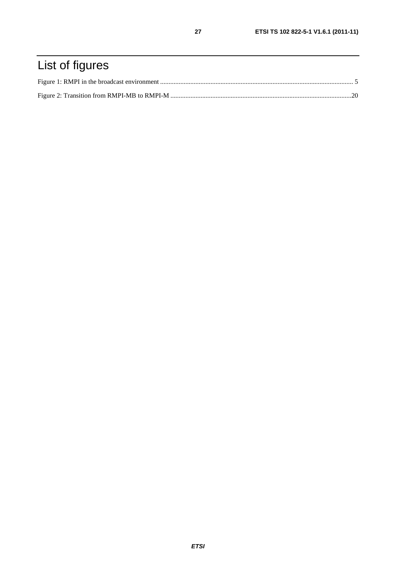## List of figures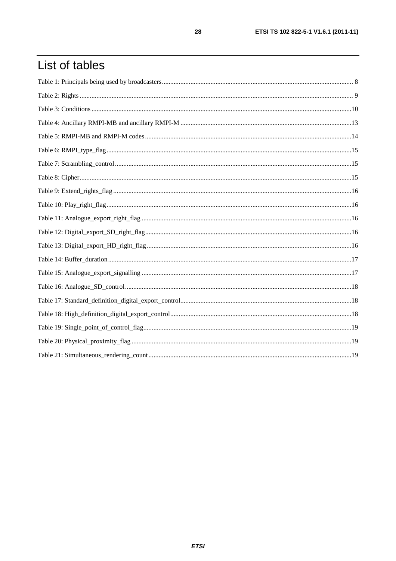## List of tables